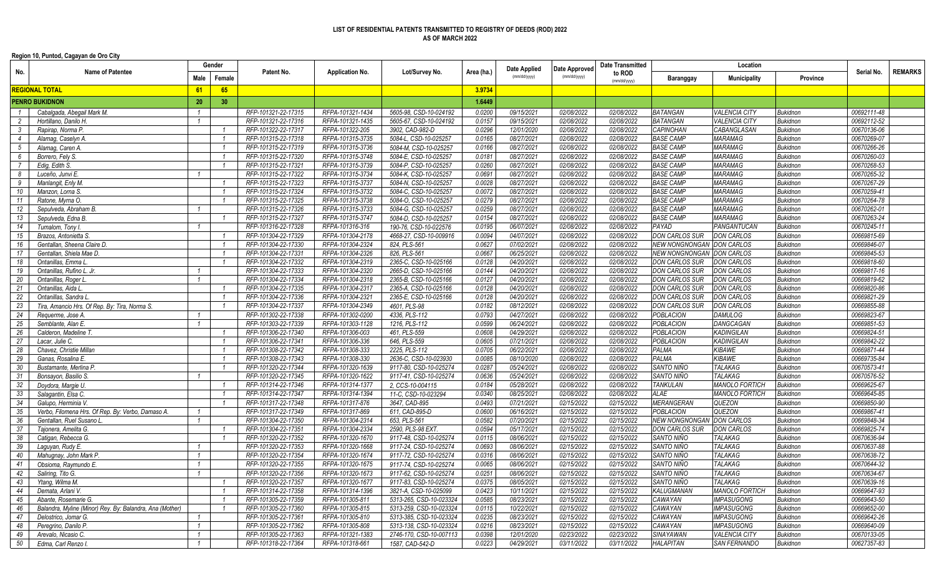## **LIST OF RESIDENTIAL PATENTS TRANSMITTED TO REGISTRY OF DEEDS (ROD) 2022 AS OF MARCH 2022**

**Region 10, Puntod, Cagayan de Oro City**

|                       |                                                          | Gender         |                 | Patent No.                                 | <b>Application No.</b>               |                                                 | Area (ha.)       | Date Applied<br>(mm/dd/yyyy) | Date Approved<br>(mm/dd/yyyy) | <b>Date Transmitted</b><br>to ROD<br>(mm/dd/yyyy) | Location                         |                                  |                                    |                            |                |
|-----------------------|----------------------------------------------------------|----------------|-----------------|--------------------------------------------|--------------------------------------|-------------------------------------------------|------------------|------------------------------|-------------------------------|---------------------------------------------------|----------------------------------|----------------------------------|------------------------------------|----------------------------|----------------|
| No.                   | <b>Name of Patentee</b>                                  |                | Female          |                                            |                                      | Lot/Survey No.                                  |                  |                              |                               |                                                   | Baranggay                        | Municipality                     | <b>Province</b>                    | Serial No.                 | <b>REMARKS</b> |
| <b>REGIONAL TOTAL</b> |                                                          | 61             | 65              |                                            |                                      |                                                 | 3.9734           |                              |                               |                                                   |                                  |                                  |                                    |                            |                |
|                       | <b>PENRO BUKIDNON</b>                                    | 20             | 30 <sup>°</sup> |                                            |                                      |                                                 | 1.6449           |                              |                               |                                                   |                                  |                                  |                                    |                            |                |
| $\overline{1}$        | Cabalgada, Abegail Mark M.                               | $\overline{1}$ |                 | RFP-101321-22-17315                        | RFPA-101321-1434                     | 5605-98, CSD-10-024192                          | 0.0200           | 09/15/2021                   | 02/08/2022                    | 02/08/2022                                        | <b>BATANGAN</b>                  | <b>VALENCIA CITY</b>             | <b>Bukidnon</b>                    | 00692111-48                |                |
| 2                     | Hortillano. Danilo H.                                    | $\overline{1}$ |                 | RFP-101321-22-17316                        | RFPA-101321-1435                     | 5605-67, CSD-10-024192                          | 0.0157           | 09/15/2021                   | 02/08/2022                    | 02/08/2022                                        | <b>BATANGAN</b>                  | <b>VALENCIA CITY</b>             | <b>Bukidnon</b>                    | 00692112-52                |                |
| $\overline{3}$        | Rapirap, Norma P.                                        |                | $\overline{1}$  | RFP-101322-22-17317                        | RFPA-101322-205                      | 3902, CAD-982-D                                 | 0.0296           | 12/01/2020                   | 02/08/2022                    | 02/08/2022                                        | <b>CAPINOHAN</b>                 | CABANGLASAN                      | <b>Bukidnon</b>                    | 00670136-06                |                |
| $\overline{4}$        | Alamag, Caselyn A.                                       |                | $\overline{1}$  | RFP-101315-22-17318                        | RFPA-101315-3735                     | 5084-L, CSD-10-025257                           | 0.0165           | 08/27/2021                   | 02/08/2022                    | 02/08/2022                                        | <b>BASE CAMP</b>                 | MARAMAG                          | <b>Bukidnon</b>                    | 00670269-07                |                |
| 5                     | Alamag, Caren A                                          |                | $\overline{1}$  | RFP-101315-22-17319                        | RFPA-101315-3736                     | 5084-M, CSD-10-025257                           | 0.0166           | 08/27/2021                   | 02/08/2022                    | 02/08/2022                                        | <b>BASE CAMP</b>                 | MARAMAG                          | <b>Bukidnon</b>                    | 00670266-26                |                |
| 6                     | Borrero, Fely S.                                         |                |                 | RFP-101315-22-17320                        | RFPA-101315-3748                     | 5084-E, CSD-10-025257                           | 0.0181           | 08/27/2021                   | 02/08/2022                    | 02/08/2022                                        | <b>BASE CAMP</b>                 | MARAMAG                          | <b>Bukidnon</b>                    | 00670260-03                |                |
| 7                     | Edig, Edith S.                                           |                |                 | RFP-101315-22-17321                        | RFPA-101315-3739                     | 5084-P, CSD-10-025257                           | 0.0260           | 08/27/2021                   | 02/08/2022                    | 02/08/2022                                        | <b>BASE CAMP</b>                 | MARAMAG                          | <b>Bukidnon</b>                    | 00670268-53                |                |
| 8                     | Luceño, Junvi E.                                         |                |                 | RFP-101315-22-17322                        | RFPA-101315-3734                     | 5084-K. CSD-10-025257                           | 0.0691           | 08/27/2021                   | 02/08/2022                    | 02/08/2022                                        | <b>BASE CAMP</b>                 | <b>MARAMAG</b>                   | <b>Bukidnon</b>                    | 00670265-32                |                |
| - 9                   | Manlangit. Enly M.                                       |                | $\overline{1}$  | RFP-101315-22-17323                        | RFPA-101315-3737                     | 5084-N, CSD-10-025257                           | 0.0028           | 08/27/2021                   | 02/08/2022                    | 02/08/2022                                        | <b>BASE CAMP</b>                 | <b>MARAMAG</b>                   | <b>Bukidnon</b>                    | 00670267-29                |                |
| 10                    | Manzon, Lorna S.                                         |                | $\overline{1}$  | RFP-101315-22-17324                        | RFPA-101315-3732                     | 5084-C, CSD-10-025257                           | 0.0072           | 08/27/2021                   | 02/08/2022                    | 02/08/2022                                        | <b>BASE CAMP</b>                 | MARAMAG                          | <b>Bukidnon</b>                    | 00670259-41                |                |
| 11                    | Ratone, Myrna O.                                         |                | $\overline{1}$  | RFP-101315-22-17325                        | RFPA-101315-3738                     | 5084-O. CSD-10-025257                           | 0.0279           | 08/27/2021                   | 02/08/2022                    | 02/08/2022                                        | <b>BASE CAMP</b>                 | MARAMAG                          | <b>Bukidnon</b>                    | 00670264-78                |                |
| 12                    | Sepulveda, Abraham B                                     |                |                 | RFP-101315-22-17326                        | RFPA-101315-3733                     | 5084-G, CSD-10-025257                           | 0.0259           | 08/27/2021                   | 02/08/2022                    | 02/08/2022                                        | <b>BASE CAMP</b>                 | MARAMAG                          | <b>Bukidnon</b>                    | 00670262-01                |                |
| 13                    | Sepulveda, Edna B.                                       |                |                 | RFP-101315-22-17327                        | RFPA-101315-3747                     | 5084-D, CSD-10-025257                           | 0.0154           | 08/27/2021                   | 02/08/2022                    | 02/08/2022                                        | <b>BASE CAMP</b>                 | MARAMAG                          | <b>Bukidnon</b>                    | 00670263-24                |                |
| 14                    | Tumalom, Tony I.                                         |                |                 | RFP-101316-22-17328                        | RFPA-101316-316                      | 190-76, CSD-10-022576                           | 0.0195           | 06/07/2021                   | 02/08/2022                    | 02/08/2022                                        | PAYAD                            | PANGANTUCAN                      | <b>Bukidnon</b>                    | 00670245-11                |                |
| 15                    | Brazos, Antonietta S.                                    |                | $\overline{1}$  | RFP-101304-22-17329                        | RFPA-101304-2178                     | 4668-27, CSD-10-009916                          | 0.0094           | 04/07/2021                   | 02/08/2022                    | 02/08/2022                                        | <b>DON CARLOS SUR</b>            | DON CARLOS                       | <b>Bukidnon</b>                    | 00669815-69                |                |
| 16                    | Gentallan, Sheena Claire D.                              |                | $\overline{1}$  | RFP-101304-22-17330                        | RFPA-101304-2324                     | 824, PLS-561                                    | 0.0627           | 07/02/2021                   | 02/08/2022                    | 02/08/2022                                        | <b>NEW NONGNONGAN</b>            | <b>DON CARLOS</b>                | <b>Bukidnon</b>                    | 00669846-07                |                |
| 17                    | Gentallan, Shiela Mae D.                                 |                | $\overline{1}$  | RFP-101304-22-17331                        | RFPA-101304-2326                     | 826, PLS-561                                    | 0.0667           | 06/25/2021                   | 02/08/2022                    | 02/08/2022                                        | <b>NEW NONGNONGAN</b>            | <b>DON CARLOS</b>                | <b>Bukidnon</b>                    | 00669845-53                |                |
| 18                    | Ontanillas, Emma L                                       |                |                 | RFP-101304-22-17332                        | RFPA-101304-2319                     | 2365-C, CSD-10-025166                           | 0.0128           | 04/20/2021                   | 02/08/2022                    | 02/08/2022                                        | <b>DON CARLOS SUR</b>            | DON CARLOS                       | <b>Bukidnon</b>                    | 00669818-60                |                |
| 19                    | Ontanillas, Rufino L. Jr.                                |                |                 | RFP-101304-22-17333                        | RFPA-101304-2320                     | 2665-D, CSD-10-025166                           | 0.0144           | 04/20/2021                   | 02/08/2022                    | 02/08/2022                                        | <b>DON CARLOS SUR</b>            | DON CARLOS                       | <b>Bukidnon</b>                    | 00669817-16                |                |
| 20                    | Ontanillas, Roger L                                      |                |                 | RFP-101304-22-17334                        | RFPA-101304-2318                     | 2365-B. CSD-10-025166                           | 0.0127           | 04/20/2021                   | 02/08/2022                    | 02/08/2022                                        | <b>DON CARLOS SUR</b>            | <b>DON CARLOS</b>                | <b>Bukidnon</b>                    | 00669819-62                |                |
| 21                    | Ontanillas, Aida L                                       |                | $\overline{1}$  | RFP-101304-22-17335                        | RFPA-101304-2317                     | 2365-A, CSD-10-025166                           | 0.0128           | 04/20/2021                   | 02/08/2022                    | 02/08/2022                                        | <b>DON CARLOS SUR</b>            | DON CARLOS                       | <b>Bukidnon</b>                    | 00669820-86                |                |
| 22                    | Ontanillas, Sandra L                                     |                | $\overline{1}$  | RFP-101304-22-17336                        | RFPA-101304-2321                     | 2365-E, CSD-10-025166                           | 0.0128           | 04/20/2021                   | 02/08/2022                    | 02/08/2022                                        | <b>DON CARLOS SUR</b>            | <b>DON CARLOS</b>                | <b>Bukidnon</b>                    | 00669821-29                |                |
| 23                    | Tira, Amancio Hrs. Of Rep. By: Tira, Norma S.            |                | $\overline{1}$  | RFP-101304-22-17337                        | RFPA-101304-2349                     | 4601, PLS-98                                    | 0.0182           | 08/12/2021                   | 02/08/2022                    | 02/08/2022                                        | <b>DON CARLOS SUR</b>            | <b>DON CARLOS</b>                | <b>Bukidnon</b>                    | 00669855-88                |                |
| 24                    | Requerme, Jose A                                         |                |                 | RFP-101302-22-17338                        | RFPA-101302-0200                     | 4336, PLS-112                                   | 0.0793           | 04/27/2021                   | 02/08/2022                    | 02/08/2022                                        | <b>POBLACION</b>                 | <b>DAMULOG</b>                   | <b>Bukidnon</b>                    | 00669823-67                |                |
| 25                    | Semblante, Alan E.                                       |                |                 | RFP-101303-22-17339                        | RFPA-101303-1128                     | 1216, PLS-112                                   | 0.0599           | 06/24/2021                   | 02/08/2022                    | 02/08/2022                                        | <b>POBLACION</b>                 | DANGCAGAN                        | <b>Bukidnon</b>                    | 00669851-53                |                |
| 26                    | Calderon, Madeline T.                                    |                | $\overline{1}$  | RFP-101306-22-17340                        | RFPA-101306-003                      | 461, PLS-559                                    | 0.0608           | 04/29/2021                   | 02/08/2022                    | 02/08/2022                                        | <b>POBLACION</b>                 | <b>KADINGILAN</b>                | <b>Bukidnon</b>                    | 00669824-51                |                |
| 27                    | Lacar, Julie C.                                          |                | $\overline{1}$  | RFP-101306-22-17341                        | RFPA-101306-336                      | 646, PLS-559                                    | 0.0605           | 07/21/2021                   | 02/08/2022                    | 02/08/2022                                        | <b>POBLACION</b>                 | <b>KADINGILAN</b>                | <b>Bukidnon</b>                    | 00669842-22                |                |
| 28                    | Chavez, Christie Millan                                  |                | $\overline{1}$  | RFP-101308-22-17342                        | RFPA-101308-333                      | 2225, PLS-112                                   | 0.0705           | 06/22/2021                   | 02/08/2022                    | 02/08/2022                                        | PALMA                            | KIBAWE                           | <b>Bukidnon</b>                    | 00669871-44                |                |
| 29                    | Ganas, Rosalina E.                                       |                | $\overline{1}$  | RFP-101308-22-17343                        | RFPA-101308-330                      | 2636-C, CSD-10-023930                           | 0.0085           | 08/10/2020                   | 02/08/2022                    | 02/08/2022                                        | PALMA                            | <b>KIBAWE</b>                    | <b>Bukidnon</b>                    | 00669735-84                |                |
| 30                    | Bustamante, Merlina P.                                   |                | $\overline{1}$  | RFP-101320-22-17344                        | RFPA-101320-1639                     | 9117-80, CSD-10-025274                          | 0.0287           | 05/24/2021                   | 02/08/2022                    | 02/08/2022                                        | SANTO NIÑO                       | <b>TALAKAG</b>                   | <b>Bukidnon</b>                    | 00670573-41                |                |
| 31                    | Bonsayon, Basilio S.                                     |                |                 | RFP-101320-22-17345                        | RFPA-101320-1622                     | 9117-41, CSD-10-025274                          | 0.0636           | 05/24/2021                   | 02/08/2022                    | 02/08/2022                                        | SANTO NIÑO                       | <b>TALAKAG</b>                   | <b>Bukidnon</b>                    | 00670576-52                |                |
| 32                    | Doydora, Margie U.                                       |                | $\overline{1}$  | RFP-101314-22-17346                        | RFPA-101314-1377                     | 2, CCS-10-004115                                | 0.0184           | 05/28/2021                   | 02/08/2022                    | 02/08/2022                                        | <b>TANKULAN</b>                  | <b>MANOLO FORTICH</b>            | <b>Bukidnon</b>                    | 00669625-67                |                |
| 33                    | Salagantin, Elsa C.                                      |                | $\overline{1}$  | RFP-101314-22-17347                        | RFPA-101314-1394                     | 11-C, CSD-10-023294                             | 0.0340           | 08/25/2021                   | 02/08/2022                    | 02/08/2022                                        | <b>ALAE</b>                      | <b>MANOLO FORTICH</b>            | <b>Bukidnon</b>                    | 00669645-85                |                |
| 34                    | Galupo, Herminia V.                                      |                | $\overline{1}$  | RFP-101317-22-17348                        | RFPA-101317-876                      | 3647, CAD-895                                   | 0.0493           | 07/21/2021                   | 02/15/2022                    | 02/15/2022                                        | <b>MERANGERAN</b>                | QUEZON                           | <b>Bukidnon</b>                    | 00669850-90                |                |
| 35                    | Verbo, Filomena Hrs. Of Rep. By: Verbo, Damaso A         | $\overline{1}$ |                 | RFP-101317-22-17349                        | RFPA-101317-869                      | 611, CAD-895-D                                  | 0.0600           | 06/16/2021                   | 02/15/2022                    | 02/15/2022                                        | <b>POBLACION</b>                 | QUEZON                           | <b>Bukidnon</b>                    | 00669867-41                |                |
| 36                    | Gentallan, Ruel Susano L                                 | $\mathbf{1}$   |                 | RFP-101304-22-17350                        | RFPA-101304-2314                     | 653, PLS-561                                    | 0.0582           | 07/20/2021                   | 02/15/2022                    | 02/15/2022                                        | <b>NEW NONGNONGAN DON CARLOS</b> |                                  | <b>Bukidnon</b>                    | 00669848-34                |                |
| 37                    | Tajonera, Amelita G.                                     |                |                 | RFP-101304-22-17351                        | RFPA-101304-2334                     | 2590, PLS-98 EXT                                | 0.0594           | 05/17/2021                   | 02/15/2022                    | 02/15/2022                                        | <b>DON CARLOS SUR</b>            | <b>DON CARLOS</b>                | <b>Bukidnon</b>                    | 00669825-74                |                |
| 38                    | Catigan, Rebecca G.                                      |                |                 | RFP-101320-22-17352                        | RFPA-101320-1670                     | 9117-48, CSD-10-025274                          | 0.0115           | 08/06/2021                   | 02/15/2022                    | 02/15/2022                                        | SANTO NIÑO                       | <b>TALAKAG</b>                   | <b>Bukidnon</b>                    | 00670636-94                |                |
| 39                    | Laguyan, Rudy E.                                         |                |                 | RFP-101320-22-17353                        | RFPA-101320-1668                     | 9117-24, CSD-10-025274                          | 0.0693           | 08/06/2021                   | 02/15/2022                    | 02/15/2022                                        | SANTO NIÑO                       | TALAKAG                          | <b>Bukidnon</b>                    | 00670637-88                |                |
| 40                    | Mahugnay, John Mark P.                                   | $\mathcal{I}$  |                 | RFP-101320-22-17354                        | RFPA-101320-1674                     | 9117-72, CSD-10-025274                          | 0.0316           | 08/06/2021                   | 02/15/2022                    | 02/15/2022                                        | SANTO NIÑO                       | TALAKAG                          | <b>Bukidnon</b>                    | 00670638-72                |                |
| 41                    | Obsioma, Raymundo E.                                     | $\mathbf{1}$   |                 | RFP-101320-22-17355                        | RFPA-101320-1675                     | 9117-74, CSD-10-025274                          | 0.0065           | 08/06/2021                   | 02/15/2022                    | 02/15/2022                                        | SANTO NIÑO                       | TALAKAG                          | <b>Bukidnon</b>                    | 00670644-32                |                |
| 42                    | Saliring, Tito G.                                        | $\overline{1}$ |                 | RFP-101320-22-17356                        | RFPA-101320-1673                     | 9117-62. CSD-10-025274                          | 0.0251           | 08/06/2021                   | 02/15/2022                    | 02/15/2022                                        | SANTO NIÑO                       | TALAKAG                          | <b>Bukidnon</b>                    | 00670634-67                |                |
|                       |                                                          |                |                 |                                            |                                      |                                                 |                  |                              |                               |                                                   |                                  |                                  |                                    |                            |                |
| 44                    | 43 Ytang, Wilma M.<br>Demata, Arlani V.                  |                |                 | RFP-101320-22-17357<br>RFP-101314-22-17358 | RFPA-101320-1677<br>RFPA-101314-1396 | 9117-83, CSD-10-025274<br>3821-A, CSD-10-025099 | 0.0375<br>0.0423 | 08/05/2021<br>10/11/2021     | 02/15/2022<br>02/15/2022      | 02/15/2022<br>02/15/2022                          | SANTO NINO<br><b>KALUGMANAN</b>  | TALAKAG<br><b>MANOLO FORTICH</b> | <b>Bukidnon</b><br><b>Bukidnon</b> | 00670639-16<br>00669647-93 |                |
| 45                    | Abante. Rosemarie G.                                     |                | $\overline{1}$  | RFP-101305-22-17359                        | RFPA-101305-811                      | 5313-265, CSD-10-023324                         | 0.0585           | 08/23/2021                   | 02/15/2022                    | 02/15/2022                                        | CAWAYAN                          | <b>IMPASUGONG</b>                | <b>Bukidnon</b>                    | 00669643-50                |                |
| 46                    | Balandra, Myline (Minor) Rey. By: Balandra, Ana (Mother) |                | $\overline{1}$  | RFP-101305-22-17360                        | RFPA-101305-815                      | 5313-259, CSD-10-023324                         | 0.0115           | 10/22/2021                   | 02/15/2022                    | 02/15/2022                                        | CAWAYAN                          | <b>IMPASUGONG</b>                | <b>Bukidnon</b>                    | 00669652-00                |                |
| 47                    | Delostrico, Jomar G.                                     | $\overline{1}$ |                 | RFP-101305-22-17361                        | RFPA-101305-810                      | 5313-385, CSD-10-023324                         | 0.0235           | 08/23/2021                   | 02/15/2022                    | 02/15/2022                                        | CAWAYAN                          | <b>IMPASUGONG</b>                | <b>Bukidnon</b>                    | 00669642-26                |                |
| 48                    | Peregrino, Danilo P.                                     | $\mathcal{I}$  |                 | RFP-101305-22-17362                        | RFPA-101305-808                      | 5313-138, CSD-10-023324                         | 0.0216           | 08/23/2021                   | 02/15/2022                    | 02/15/2022                                        | CAWAYAN                          | <b>IMPASUGONG</b>                | <b>Bukidnon</b>                    | 00669640-09                |                |
| 49                    |                                                          |                |                 | RFP-101305-22-17363                        | RFPA-101321-1383                     | 2746-170, CSD-10-007113                         | 0.0398           | 12/01/2020                   | 02/23/2022                    | 02/23/2022                                        | <b>SINAYAWAN</b>                 | <b>VALENCIA CITY</b>             | <b>Bukidnon</b>                    | 00670133-05                |                |
|                       | Arevalo, Nicasio C.                                      |                |                 |                                            |                                      |                                                 |                  |                              |                               |                                                   |                                  |                                  |                                    |                            |                |
|                       | 50 Edma, Carl Renzo I.                                   | $\overline{1}$ |                 | RFP-101318-22-17364                        | RFPA-101318-661                      | 1587, CAD-542-D                                 | 0.0223           | 04/29/2021                   | 03/11/2022                    | 03/11/2022                                        | <b>HALAPITAN</b>                 | <b>SAN FERNANDO</b>              | <b>Bukidnon</b>                    | 00627357-83                |                |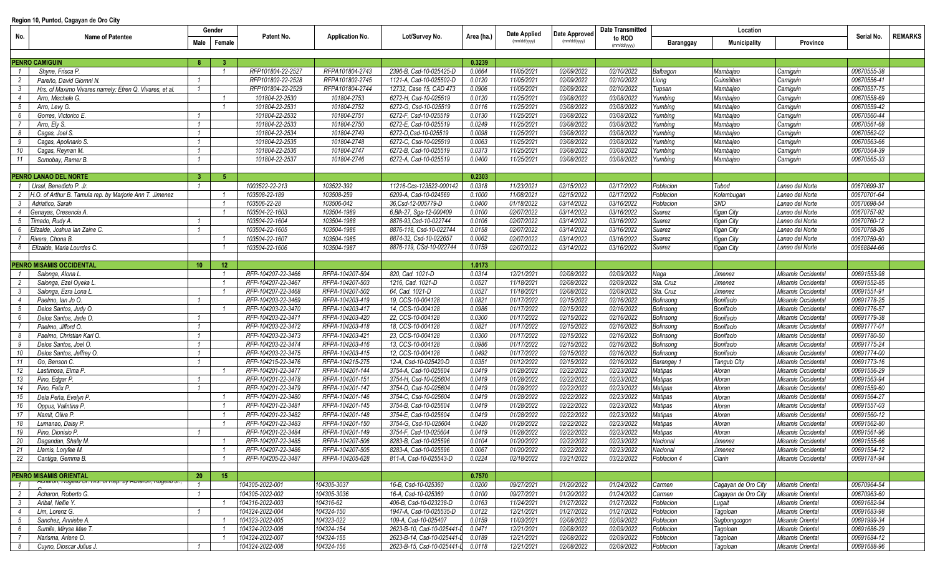## **Region 10, Puntod, Cagayan de Oro City**

| No.             |                                                                      | Gender                             | Patent No.         | <b>Application No.</b> | Lot/Survey No.             | Area (ha.) | Date Applied<br>(mm/dd/yyyy) | Date Approved<br>(mm/dd/yyyy) | <b>Date Transmitted</b> | Location       |                     |                         |             |                |
|-----------------|----------------------------------------------------------------------|------------------------------------|--------------------|------------------------|----------------------------|------------|------------------------------|-------------------------------|-------------------------|----------------|---------------------|-------------------------|-------------|----------------|
|                 | <b>Name of Patentee</b>                                              | Male<br>Female                     |                    |                        |                            |            |                              |                               | to ROD<br>(mm/dd/yyyy   | Baranggay      | <b>Municipality</b> | Province                | Serial No.  | <b>REMARKS</b> |
|                 |                                                                      |                                    |                    |                        |                            |            |                              |                               |                         |                |                     |                         |             |                |
|                 | <b>PENRO CAMIGUIN</b>                                                | -8<br>-3                           |                    |                        |                            | 0.3239     |                              |                               |                         |                |                     |                         |             |                |
| $\overline{1}$  | Shyne, Frisca P.                                                     | $\overline{1}$                     | RFP101804-22-2527  | RFPA101804-2743        | 2396-B. Csd-10-025425-D    | 0.0664     | 11/05/2021                   | 02/09/2022                    | 02/10/2022              | Balbagon       | Mambajao            | Camiguin                | 00670555-38 |                |
| $\overline{c}$  | Pareño, David Giornni N.                                             |                                    | RFP101802-22-2528  | RFPA101802-2745        | 1121-A, Csd-10-025502-D    | 0.0120     | 11/05/2021                   | 02/09/2022                    | 02/10/2022              | Liong          | Guinsiliban         | Camiguin                | 00670556-41 |                |
| $\mathbf{3}$    | Hrs. of Maximo Vivares namely: Efren Q. Vivares, et al.              |                                    | RFP101804-22-2529  | RFPA101804-2744        | 12732, Case 15, CAD 473    | 0.0906     | 11/05/2021                   | 02/09/2022                    | 02/10/2022              | Tupsan         | Mambajao            | Camiguin                | 00670557-75 |                |
| $\overline{4}$  | Arro, Mischele G.                                                    | $\overline{1}$                     | 101804-22-2530     | 101804-2753            | 6272-H, Csd-10-025519      | 0.0120     | 11/25/2021                   | 03/08/2022                    | 03/08/2022              | Yumbing        | Mambajao            | Camiguin                | 00670558-69 |                |
| $5\overline{)}$ | Arro, Levy G.                                                        | $\overline{1}$                     | 101804-22-2531     | 101804-2752            | 6272-G, Csd-10-025519      | 0.0116     | 11/25/2021                   | 03/08/2022                    | 03/08/2022              | Yumbing        | Mambajao            | Camiguin                | 00670559-42 |                |
| 6               | Gorres, Victorico E.                                                 | $\overline{1}$                     | 101804-22-2532     | 101804-2751            | 6272-F, Csd-10-025519      | 0.0130     | 11/25/2021                   | 03/08/2022                    | 03/08/2022              | Yumbing        | Mambajao            | Camiguin                | 00670560-44 |                |
| 7               | Arro, Ely S.                                                         | $\overline{1}$                     | 101804-22-2533     | 101804-2750            | 6272-E, Csd-10-025519      | 0.0249     | 11/25/2021                   | 03/08/2022                    | 03/08/2022              | Yumbing        | Mambajao            | Camiguin                | 00670561-68 |                |
| 8               | Cagas, Joel S.                                                       |                                    | 101804-22-2534     | 101804-2749            | 6272-D, Csd-10-025519      | 0.0098     | 11/25/2021                   | 03/08/2022                    | 03/08/2022              | Yumbing        | Mambajao            | Camiguin                | 00670562-02 |                |
| 9               | Cagas, Apolinario S.                                                 |                                    | 101804-22-2535     | 101804-2748            | 6272-C, Csd-10-025519      | 0.0063     | 11/25/2021                   | 03/08/2022                    | 03/08/2022              | Yumbing        | Mambajao            | Camiguin                | 00670563-66 |                |
| 10              | Cagas, Reynan M.                                                     |                                    | 101804-22-2536     | 101804-2747            | 6272-B, Csd-10-025519      | 0.0373     | 11/25/2021                   | 03/08/2022                    | 03/08/2022              | Yumbing        | Mambajao            | Camiguin                | 00670564-39 |                |
| 11              | Somobay, Ramer B.                                                    | $\mathbf{1}$                       | 101804-22-2537     | 101804-2746            | 6272-A. Csd-10-025519      | 0.0400     | 11/25/2021                   | 03/08/2022                    | 03/08/2022              | Yumbing        | Mambajao            | Camiguin                | 00670565-33 |                |
|                 |                                                                      |                                    |                    |                        |                            |            |                              |                               |                         |                |                     |                         |             |                |
|                 | PENRO LANAO DEL NORTE                                                | - 5<br>-3-                         |                    |                        |                            | 0.2303     |                              |                               |                         |                |                     |                         |             |                |
|                 | 1 Ursal, Benedicto P. Jr.                                            | $\overline{1}$                     | 1003522-22-213     | 103522-392             | 11216-Ccs-123522-000142    | 0.0318     | 11/23/2021                   | 02/15/2022                    | 02/17/2022              | Poblacion      | Tubod               | Lanao del Norte         | 00670699-37 |                |
| $\overline{2}$  | H.O. of Arthur B. Tamula rep. by Marjorie Ann T. Jimenez             |                                    | 103508-22-189      | 103508-259             | 6209-A, Csd-10-024569      | 0.1000     | 11/08/2021                   | 02/15/2022                    | 02/17/2022              | Poblacion      | Kolambugan          | Lanao del Norte         | 00670701-64 |                |
| $\mathbf{3}$    | Adriatico, Sarah                                                     | $\overline{1}$                     | 103506-22-28       | 103506-042             | 36.Csd-12-005779-D         | 0.0400     | 01/18/2022                   | 03/14/2022                    | 03/16/2022              | Poblacion      | <b>SND</b>          | Lanao del Norte         | 00670698-54 |                |
| $\overline{4}$  | Genayas, Cresencia A.                                                | $\overline{1}$                     | 103504-22-1603     | 103504-1989            | 6.Blk-27, Sqs-12-000409    | 0.0100     | 02/07/2022                   | 03/14/2022                    | 03/16/2022              | <b>Suarez</b>  | <b>Iligan City</b>  | Lanao del Norte         | 00670757-92 |                |
| 5               | Timado, Rudy A.                                                      |                                    | 103504-22-1604     | 103504-1988            | 8876-93, Csd-10-022744     | 0.0106     | 02/07/2022                   | 03/14/2022                    | 03/16/2022              | <b>Suarez</b>  |                     |                         | 00670760-12 |                |
|                 |                                                                      |                                    | 103504-22-1605     | 103504-1986            | 8876-118, Csd-10-022744    | 0.0158     | 02/07/2022                   | 03/14/2022                    | 03/16/2022              |                | <b>Iligan City</b>  | Lanao del Norte         | 00670758-26 |                |
| 6<br>7          | Elizalde, Joshua Ian Zaine C.                                        | $\overline{1}$                     |                    |                        |                            |            |                              |                               |                         | <b>Suarez</b>  | <b>Iligan City</b>  | Lanao del Norte         |             |                |
|                 | Rivera, Chona B.                                                     |                                    | 103504-22-1607     | 103504-1985            | 8874-32, Csd-10-022657     | 0.0062     | 02/07/2022                   | 03/14/2022                    | 03/16/2022              | <b>Suarez</b>  | <b>Iligan City</b>  | Lanao del Norte         | 00670759-50 |                |
| 8               | Elizalde, Maria Lourdes C.                                           |                                    | 103504-22-1606     | 103504-1987            | 8876-119, CSd-10-022744    | 0.0159     | 02/07/2022                   | 03/14/2022                    | 03/16/2022              | Suarez         | lligan City         | Lanao del Norte         | 00668844-66 |                |
|                 |                                                                      |                                    |                    |                        |                            |            |                              |                               |                         |                |                     |                         |             |                |
|                 | <b>PENRO MISAMIS OCCIDENTAL</b>                                      | 12 <sup>2</sup><br>10 <sup>1</sup> |                    |                        |                            | 1.0173     |                              |                               |                         |                |                     |                         |             |                |
| $\overline{1}$  | Salonga, Alona L                                                     | $\overline{1}$                     | RFP-104207-22-3466 | RFPA-104207-504        | 820, Cad. 1021-D           | 0.0314     | 12/21/2021                   | 02/08/2022                    | 02/09/2022              | Naga           | Jimenez             | Misamis Occidental      | 00691553-98 |                |
| 2               | Salonga, Ezel Oyeka L.                                               | $\overline{1}$                     | RFP-104207-22-3467 | RFPA-104207-503        | 1216, Cad. 1021-D          | 0.0527     | 11/18/2021                   | 02/08/2022                    | 02/09/2022              | Sta. Cruz      | Jimenez             | Misamis Occidental      | 00691552-85 |                |
| $\mathbf{3}$    | Salonga, Ezra Lona L                                                 | $\overline{1}$                     | RFP-104207-22-3468 | RFPA-104207-502        | 64, Cad. 1021-D            | 0.0527     | 11/18/2021                   | 02/08/2022                    | 02/09/2022              | Sta. Cruz      | Jimenez             | Misamis Occidental      | 00691551-91 |                |
| $\overline{4}$  | Paelmo, Ian Jo O.                                                    |                                    | RFP-104203-22-3469 | RFPA-104203-419        | 19, CCS-10-004128          | 0.0821     | 01/17/2022                   | 02/15/2022                    | 02/16/2022              | Bolinsong      | Bonifacio           | Misamis Occidental      | 00691778-25 |                |
| 5               | Delos Santos, Judy O.                                                |                                    | RFP-104203-22-3470 | RFPA-104203-417        | 14, CCS-10-004128          | 0.0986     | 01/17/2022                   | 02/15/2022                    | 02/16/2022              | Bolinsong      | Bonifacio           | Misamis Occidental      | 00691776-57 |                |
| 6               | Delos Santos, Jade O.                                                |                                    | RFP-104203-22-3471 | RFPA-104203-420        | 22, CCS-10-004128          | 0.0300     | 01/17/2022                   | 02/15/2022                    | 02/16/2022              | Bolinsong      | Bonifacio           | Misamis Occidental      | 00691779-38 |                |
| 7               | Paelmo, Jifford O.                                                   | $\overline{1}$                     | RFP-104203-22-3472 | RFPA-104203-418        | 18, CCS-10-004128          | 0.0821     | 01/17/2022                   | 02/15/2022                    | 02/16/2022              | Bolinsong      | Bonifacio           | Misamis Occidental      | 00691777-01 |                |
| - 8             | Paelmo, Christian Karl O.                                            | $\overline{1}$                     | RFP-104203-22-3473 | RFPA-104203-421        | 23, CCS-10-004128          | 0.0300     | 01/17/2022                   | 02/15/2022                    | 02/16/2022              | Bolinsong      | Bonifacio           | Misamis Occidental      | 00691780-50 |                |
| - 9             | Delos Santos, Joel O.                                                | $\overline{1}$                     | RFP-104203-22-3474 | RFPA-104203-416        | 13, CCS-10-004128          | 0.0986     | 01/17/2022                   | 02/15/2022                    | 02/16/2022              | Bolinsong      | Bonifacio           | Misamis Occidental      | 00691775-24 |                |
| 10              | Delos Santos, Jeffrey O.                                             |                                    | RFP-104203-22-3475 | RFPA-104203-415        | 12, CCS-10-004128          | 0.0492     | 01/17/2022                   | 02/15/2022                    | 02/16/2022              | Bolinsong      | Bonifacio           | Misamis Occidental      | 00691774-00 |                |
| 11              | Go. Benson C.                                                        |                                    | RFP-104215-22-3476 | RFPA-104215-275        | 12-A, Csd-10-025420-D      | 0.0351     | 01/12/2022                   | 02/15/2022                    | 02/16/2022              | Barangay       | <b>Tangub City</b>  | Misamis Occidental      | 00691773-16 |                |
| 12              | Lastimosa, Elma P.                                                   | $\overline{1}$                     | RFP-104201-22-3477 | RFPA-104201-144        | 3754-A, Csd-10-025604      | 0.0419     | 01/28/2022                   | 02/22/2022                    | 02/23/2022              | <b>Matipas</b> | Aloran              | Misamis Occidental      | 00691556-29 |                |
| 13              | Pino, Edgar P.                                                       | $\overline{1}$                     | RFP-104201-22-3478 | RFPA-104201-151        | 3754-H, Csd-10-025604      | 0.0419     | 01/28/2022                   | 02/22/2022                    | 02/23/2022              | Matipas        | Aloran              | Misamis Occidental      | 00691563-94 |                |
| 14              | Pino, Felix P.                                                       |                                    | RFP-104201-22-3479 | RFPA-104201-147        | 3754-D, Csd-10-025604      | 0.0419     | 01/28/2022                   | 02/22/2022                    | 02/23/2022              | Matipas        | Aloran              | Misamis Occidental      | 00691559-60 |                |
| 15              | Dela Peña, Evelyn P.                                                 | $\overline{1}$                     | RFP-104201-22-3480 | RFPA-104201-146        | 3754-C, Csd-10-025604      | 0.0419     | 01/28/2022                   | 02/22/2022                    | 02/23/2022              | Matipas        | Aloran              | Misamis Occidental      | 00691564-27 |                |
| 16              | Oppus, Valintina P.                                                  | $\overline{1}$                     | RFP-104201-22-3481 | RFPA-104201-145        | 3754-B. Csd-10-025604      | 0.0419     | 01/28/2022                   | 02/22/2022                    | 02/23/2022              | Matipas        | Aloran              | Misamis Occidental      | 00691557-03 |                |
| 17              | Namit. Oliva P.                                                      | $\overline{1}$                     | RFP-104201-22-3482 | RFPA-104201-148        | 3754-E, Csd-10-025604      | 0.0419     | 01/28/2022                   | 02/22/2022                    | 02/23/2022              | Matipas        | Aloran              | Misamis Occidental      | 00691560-12 |                |
| 18              | Lumanao, Daisy P.                                                    |                                    | RFP-104201-22-3483 | RFPA-104201-150        | 3754-G, Csd-10-025604      | 0.0420     | 01/28/2022                   | 02/22/2022                    | 02/23/2022              | Matipas        | Aloran              | Misamis Occidental      | 00691562-80 |                |
| 19              | Pino, Dionisio P.                                                    |                                    | RFP-104201-22-3484 | RFPA-104201-149        | 3754-F, Csd-10-025604      | 0.0419     | 01/28/2022                   | 02/22/2022                    | 02/23/2022              | Matipas        | Aloran              | Misamis Occidental      | 00691561-96 |                |
| 20              | Dagandan, Shally M.                                                  |                                    | RFP-104207-22-3485 | RFPA-104207-506        | 8283-B, Csd-10-025596      | 0.0104     | 01/20/2022                   | 02/22/2022                    | 02/23/2022              | Nacional       | Jimenez             | Misamis Occidental      | 00691555-66 |                |
| 21              | Llamis. Lorvfee M.                                                   | $\overline{1}$                     | RFP-104207-22-3486 | RFPA-104207-505        | 8283-A, Csd-10-025596      | 0.0067     | 01/20/2022                   | 02/22/2022                    | 02/23/2022              | Nacional       | Jimenez             | Misamis Occidental      | 00691554-12 |                |
| 22              | Cantiga, Gemma B.                                                    | $\overline{1}$                     | RFP-104205-22-3487 | RFPA-104205-628        | 811-A, Csd-10-025543-D     | 0.0224     | 02/18/2022                   | 03/21/2022                    | 03/22/2022              | Poblacion 4    | Clarin              | Misamis Occidental      | 00691781-94 |                |
|                 |                                                                      |                                    |                    |                        |                            |            |                              |                               |                         |                |                     |                         |             |                |
|                 | <b>PENRO MISAMIS ORIENTAL</b>                                        | 20<br>15 <sub>15</sub>             |                    |                        |                            | 0.7570     |                              |                               |                         |                |                     |                         |             |                |
| $\overline{1}$  | <del>Acharon, Nogelio Si. His. or Nep. by Acharon, Nogelio Si.</del> |                                    | 104305-2022-001    | 104305-3037            | 16-B, Csd-10-025360        | 0.0200     | 09/27/2021                   | 01/20/2022                    | 01/24/2022              | Carmen         | Cagayan de Oro City | <b>Misamis Oriental</b> | 00670964-54 |                |
| $\overline{2}$  | Acharon. Roberto G.                                                  |                                    | 104305-2022-002    | 104305-3036            | 16-A, Csd-10-025360        | 0.0100     | 09/27/2021                   | 01/20/2022                    | 01/24/2022              | Carmen         | Cagayan de Oro City | Misamis Oriental        | 00670963-60 |                |
| $\mathbf{3}$    | Aribal, Nellie Y.                                                    | $\overline{1}$                     | 104316-2022-003    | 104316-62              | 406-B, Csd-10-023238-D     | 0.0163     | 11/24/2021                   | 01/27/2022                    | 01/27/2022              | Poblacion      | Lugait              | Misamis Oriental        | 00691682-94 |                |
| $\overline{4}$  | Lim. Lorenz G.                                                       |                                    | 104324-2022-004    | 104324-150             | 1947-A. Csd-10-025535-D    | 0.0122     | 12/21/2021                   | 01/27/2022                    | 01/27/2022              | Poblacion      | Tagoloan            | <b>Misamis Oriental</b> | 00691683-98 |                |
| $5\overline{)}$ | Sanchez, Anniebe A.                                                  |                                    | 104323-2022-005    | 104323-022             | 109-A, Csd-10-025407       | 0.0159     | 11/03/2021                   | 02/08/2022                    | 02/09/2022              | Poblacion      | Sugbongcogon        | Misamis Oriental        | 00691999-34 |                |
| 6               | Sumile, Miryse Mae T.                                                | $\overline{1}$                     | 104324-2022-006    | 104324-154             | 2623-B-10, Csd-10-025441-L | 0.0471     | 12/21/2021                   | 02/08/2022                    | 02/09/2022              | Poblacion      | Tagoloan            | <b>Misamis Oriental</b> | 00691686-29 |                |
| $\overline{7}$  | Narisma, Arlene O.                                                   | $\overline{1}$                     | 104324-2022-007    | 104324-155             | 2623-B-14, Csd-10-025441-L | 0.0189     | 12/21/2021                   | 02/08/2022                    | 02/09/2022              | Poblacion      | Tagoloan            | <b>Misamis Oriental</b> | 00691684-12 |                |
| 8               | Cuyno, Dioscar Julius J.                                             | $\overline{1}$                     | 104324-2022-008    | 104324-156             | 2623-B-15, Csd-10-025441-L | 0.0118     | 12/21/2021                   | 02/08/2022                    | 02/09/2022              | Poblacion      | Tagoloan            | Misamis Oriental        | 00691688-96 |                |
|                 |                                                                      |                                    |                    |                        |                            |            |                              |                               |                         |                |                     |                         |             |                |